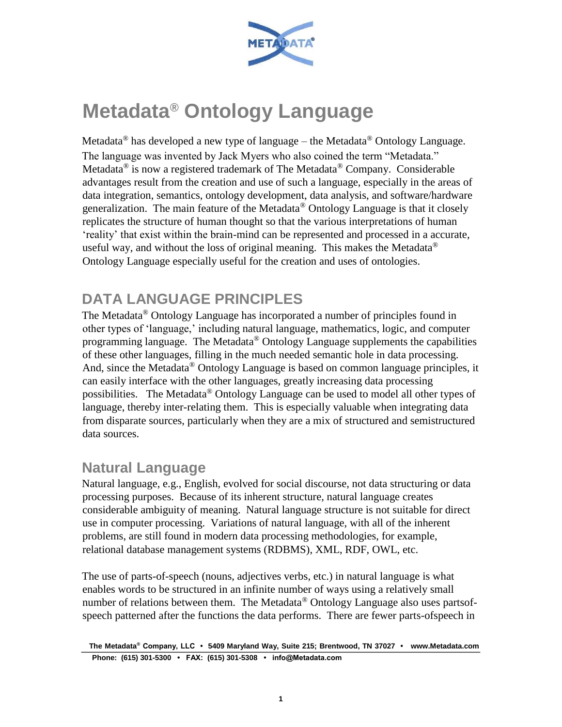

# **Metadata® Ontology Language**

Metadata<sup>®</sup> has developed a new type of language – the Metadata<sup>®</sup> Ontology Language. The language was invented by Jack Myers who also coined the term "Metadata." Metadata<sup>®</sup> is now a registered trademark of The Metadata<sup>®</sup> Company. Considerable advantages result from the creation and use of such a language, especially in the areas of data integration, semantics, ontology development, data analysis, and software/hardware generalization. The main feature of the Metadata® Ontology Language is that it closely replicates the structure of human thought so that the various interpretations of human 'reality' that exist within the brain-mind can be represented and processed in a accurate, useful way, and without the loss of original meaning. This makes the Metadata<sup>®</sup> Ontology Language especially useful for the creation and uses of ontologies.

# **DATA LANGUAGE PRINCIPLES**

The Metadata® Ontology Language has incorporated a number of principles found in other types of 'language,' including natural language, mathematics, logic, and computer programming language. The Metadata® Ontology Language supplements the capabilities of these other languages, filling in the much needed semantic hole in data processing. And, since the Metadata<sup>®</sup> Ontology Language is based on common language principles, it can easily interface with the other languages, greatly increasing data processing possibilities. The Metadata® Ontology Language can be used to model all other types of language, thereby inter-relating them. This is especially valuable when integrating data from disparate sources, particularly when they are a mix of structured and semistructured data sources.

#### **Natural Language**

Natural language, e.g., English, evolved for social discourse, not data structuring or data processing purposes. Because of its inherent structure, natural language creates considerable ambiguity of meaning. Natural language structure is not suitable for direct use in computer processing. Variations of natural language, with all of the inherent problems, are still found in modern data processing methodologies, for example, relational database management systems (RDBMS), XML, RDF, OWL, etc.

The use of parts-of-speech (nouns, adjectives verbs, etc.) in natural language is what enables words to be structured in an infinite number of ways using a relatively small number of relations between them. The Metadata® Ontology Language also uses partsofspeech patterned after the functions the data performs. There are fewer parts-ofspeech in

**The Metadata® Company, LLC • 5409 Maryland Way, Suite 215; Brentwood, TN 37027 • www.Metadata.com Phone: (615) 301-5300 • FAX: (615) 301-5308 • info@Metadata.com**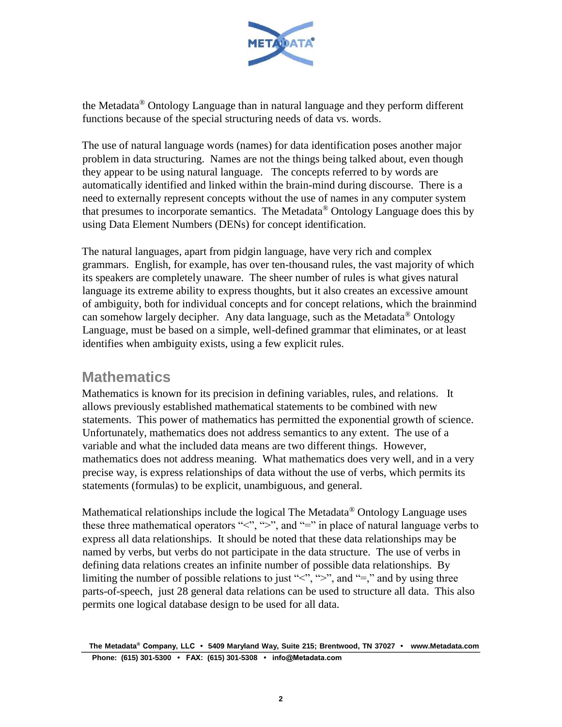

the Metadata® Ontology Language than in natural language and they perform different functions because of the special structuring needs of data vs. words.

The use of natural language words (names) for data identification poses another major problem in data structuring. Names are not the things being talked about, even though they appear to be using natural language. The concepts referred to by words are automatically identified and linked within the brain-mind during discourse. There is a need to externally represent concepts without the use of names in any computer system that presumes to incorporate semantics. The Metadata<sup>®</sup> Ontology Language does this by using Data Element Numbers (DENs) for concept identification.

The natural languages, apart from pidgin language, have very rich and complex grammars. English, for example, has over ten-thousand rules, the vast majority of which its speakers are completely unaware. The sheer number of rules is what gives natural language its extreme ability to express thoughts, but it also creates an excessive amount of ambiguity, both for individual concepts and for concept relations, which the brainmind can somehow largely decipher. Any data language, such as the Metadata<sup>®</sup> Ontology Language, must be based on a simple, well-defined grammar that eliminates, or at least identifies when ambiguity exists, using a few explicit rules.

#### **Mathematics**

Mathematics is known for its precision in defining variables, rules, and relations. It allows previously established mathematical statements to be combined with new statements. This power of mathematics has permitted the exponential growth of science. Unfortunately, mathematics does not address semantics to any extent. The use of a variable and what the included data means are two different things. However, mathematics does not address meaning. What mathematics does very well, and in a very precise way, is express relationships of data without the use of verbs, which permits its statements (formulas) to be explicit, unambiguous, and general.

Mathematical relationships include the logical The Metadata® Ontology Language uses these three mathematical operators " $\lt$ ", " $\gt$ ", and "=" in place of natural language verbs to express all data relationships. It should be noted that these data relationships may be named by verbs, but verbs do not participate in the data structure. The use of verbs in defining data relations creates an infinite number of possible data relationships. By limiting the number of possible relations to just " $\lt$ ", " $\gt$ ", and "=," and by using three parts-of-speech, just 28 general data relations can be used to structure all data. This also permits one logical database design to be used for all data.

**The Metadata® Company, LLC • 5409 Maryland Way, Suite 215; Brentwood, TN 37027 • www.Metadata.com Phone: (615) 301-5300 • FAX: (615) 301-5308 • info@Metadata.com**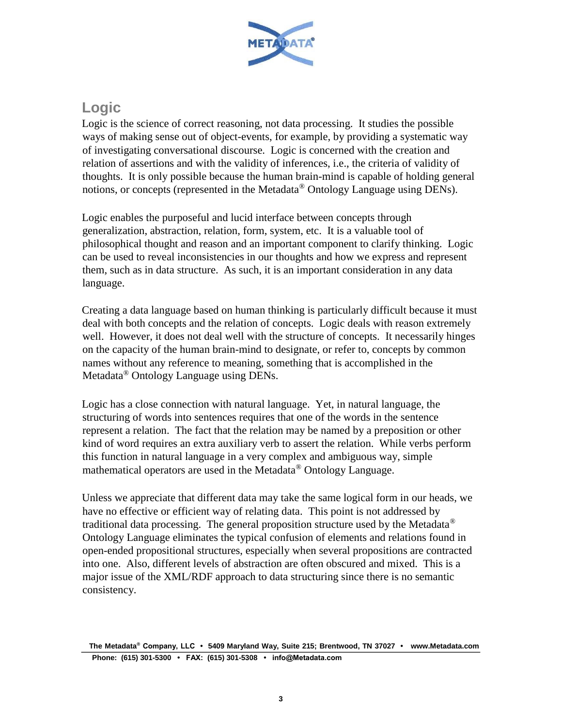

# **Logic**

Logic is the science of correct reasoning, not data processing. It studies the possible ways of making sense out of object-events, for example, by providing a systematic way of investigating conversational discourse. Logic is concerned with the creation and relation of assertions and with the validity of inferences, i.e., the criteria of validity of thoughts. It is only possible because the human brain-mind is capable of holding general notions, or concepts (represented in the Metadata® Ontology Language using DENs).

Logic enables the purposeful and lucid interface between concepts through generalization, abstraction, relation, form, system, etc. It is a valuable tool of philosophical thought and reason and an important component to clarify thinking. Logic can be used to reveal inconsistencies in our thoughts and how we express and represent them, such as in data structure. As such, it is an important consideration in any data language.

Creating a data language based on human thinking is particularly difficult because it must deal with both concepts and the relation of concepts. Logic deals with reason extremely well. However, it does not deal well with the structure of concepts. It necessarily hinges on the capacity of the human brain-mind to designate, or refer to, concepts by common names without any reference to meaning, something that is accomplished in the Metadata® Ontology Language using DENs.

Logic has a close connection with natural language. Yet, in natural language, the structuring of words into sentences requires that one of the words in the sentence represent a relation. The fact that the relation may be named by a preposition or other kind of word requires an extra auxiliary verb to assert the relation. While verbs perform this function in natural language in a very complex and ambiguous way, simple mathematical operators are used in the Metadata<sup>®</sup> Ontology Language.

Unless we appreciate that different data may take the same logical form in our heads, we have no effective or efficient way of relating data. This point is not addressed by traditional data processing. The general proposition structure used by the Metadata<sup>®</sup> Ontology Language eliminates the typical confusion of elements and relations found in open-ended propositional structures, especially when several propositions are contracted into one. Also, different levels of abstraction are often obscured and mixed. This is a major issue of the XML/RDF approach to data structuring since there is no semantic consistency.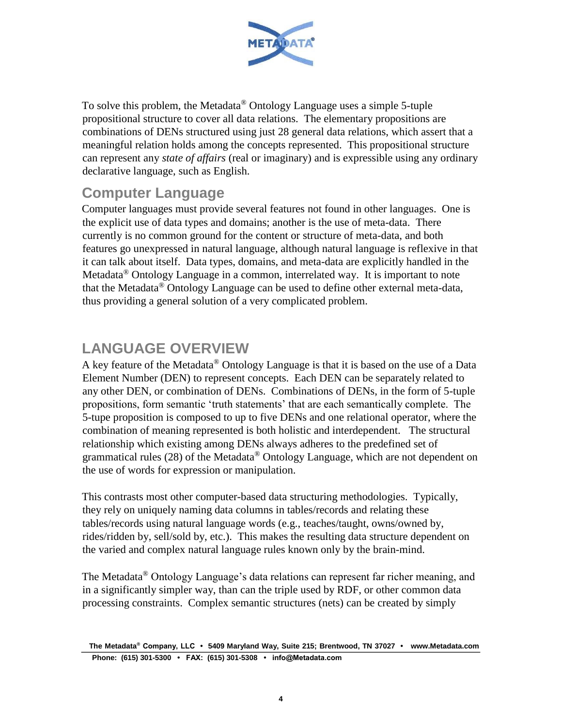

To solve this problem, the Metadata® Ontology Language uses a simple 5-tuple propositional structure to cover all data relations. The elementary propositions are combinations of DENs structured using just 28 general data relations, which assert that a meaningful relation holds among the concepts represented. This propositional structure can represent any *state of affairs* (real or imaginary) and is expressible using any ordinary declarative language, such as English.

#### **Computer Language**

Computer languages must provide several features not found in other languages. One is the explicit use of data types and domains; another is the use of meta-data. There currently is no common ground for the content or structure of meta-data, and both features go unexpressed in natural language, although natural language is reflexive in that it can talk about itself. Data types, domains, and meta-data are explicitly handled in the Metadata® Ontology Language in a common, interrelated way. It is important to note that the Metadata<sup>®</sup> Ontology Language can be used to define other external meta-data, thus providing a general solution of a very complicated problem.

# **LANGUAGE OVERVIEW**

A key feature of the Metadata<sup>®</sup> Ontology Language is that it is based on the use of a Data Element Number (DEN) to represent concepts. Each DEN can be separately related to any other DEN, or combination of DENs. Combinations of DENs, in the form of 5-tuple propositions, form semantic 'truth statements' that are each semantically complete. The 5-tupe proposition is composed to up to five DENs and one relational operator, where the combination of meaning represented is both holistic and interdependent. The structural relationship which existing among DENs always adheres to the predefined set of grammatical rules (28) of the Metadata® Ontology Language, which are not dependent on the use of words for expression or manipulation.

This contrasts most other computer-based data structuring methodologies. Typically, they rely on uniquely naming data columns in tables/records and relating these tables/records using natural language words (e.g., teaches/taught, owns/owned by, rides/ridden by, sell/sold by, etc.). This makes the resulting data structure dependent on the varied and complex natural language rules known only by the brain-mind.

The Metadata® Ontology Language's data relations can represent far richer meaning, and in a significantly simpler way, than can the triple used by RDF, or other common data processing constraints. Complex semantic structures (nets) can be created by simply

**The Metadata® Company, LLC • 5409 Maryland Way, Suite 215; Brentwood, TN 37027 • www.Metadata.com Phone: (615) 301-5300 • FAX: (615) 301-5308 • info@Metadata.com**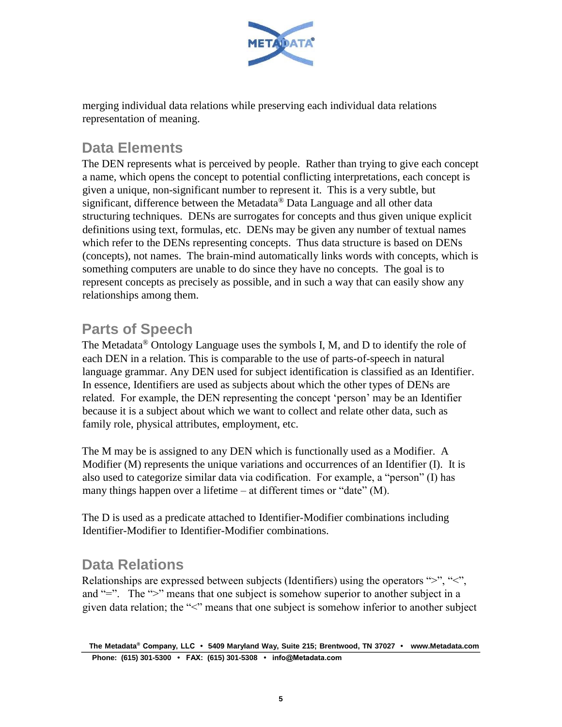

merging individual data relations while preserving each individual data relations representation of meaning.

# **Data Elements**

The DEN represents what is perceived by people. Rather than trying to give each concept a name, which opens the concept to potential conflicting interpretations, each concept is given a unique, non-significant number to represent it. This is a very subtle, but significant, difference between the Metadata® Data Language and all other data structuring techniques. DENs are surrogates for concepts and thus given unique explicit definitions using text, formulas, etc. DENs may be given any number of textual names which refer to the DENs representing concepts. Thus data structure is based on DENs (concepts), not names. The brain-mind automatically links words with concepts, which is something computers are unable to do since they have no concepts. The goal is to represent concepts as precisely as possible, and in such a way that can easily show any relationships among them.

# **Parts of Speech**

The Metadata® Ontology Language uses the symbols I, M, and D to identify the role of each DEN in a relation. This is comparable to the use of parts-of-speech in natural language grammar. Any DEN used for subject identification is classified as an Identifier. In essence, Identifiers are used as subjects about which the other types of DENs are related. For example, the DEN representing the concept 'person' may be an Identifier because it is a subject about which we want to collect and relate other data, such as family role, physical attributes, employment, etc.

The M may be is assigned to any DEN which is functionally used as a Modifier. A Modifier (M) represents the unique variations and occurrences of an Identifier (I). It is also used to categorize similar data via codification. For example, a "person" (I) has many things happen over a lifetime – at different times or "date" (M).

The D is used as a predicate attached to Identifier-Modifier combinations including Identifier-Modifier to Identifier-Modifier combinations.

# **Data Relations**

Relationships are expressed between subjects (Identifiers) using the operators ">", "<", and "=". The ">" means that one subject is somehow superior to another subject in a given data relation; the "<" means that one subject is somehow inferior to another subject

**The Metadata® Company, LLC • 5409 Maryland Way, Suite 215; Brentwood, TN 37027 • www.Metadata.com Phone: (615) 301-5300 • FAX: (615) 301-5308 • info@Metadata.com**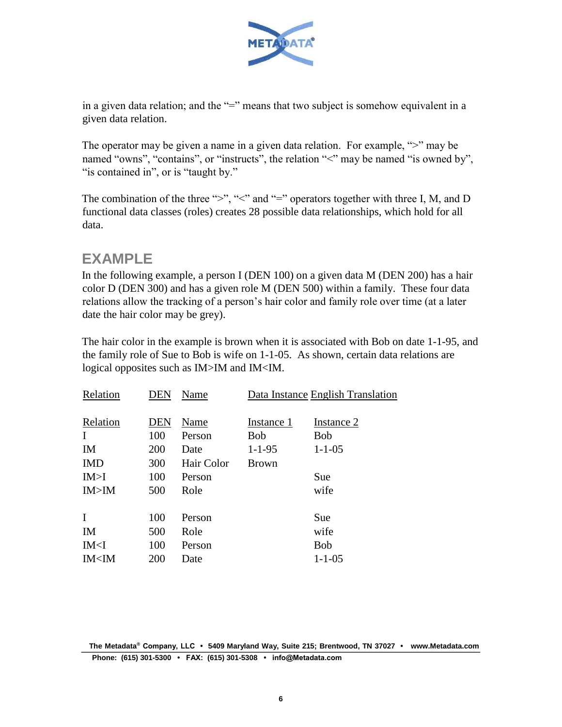

in a given data relation; and the "=" means that two subject is somehow equivalent in a given data relation.

The operator may be given a name in a given data relation. For example, ">" may be named "owns", "contains", or "instructs", the relation "<" may be named "is owned by", " is contained in", or is "taught by."

The combination of the three ">", "<" and "=" operators together with three I, M, and D functional data classes (roles) creates 28 possible data relationships, which hold for all data.

#### **EXAMPLE**

In the following example, a person I (DEN 100) on a given data M (DEN 200) has a hair color D (DEN 300) and has a given role M (DEN 500) within a family. These four data relations allow the tracking of a person's hair color and family role over time (at a later date the hair color may be grey).

The hair color in the example is brown when it is associated with Bob on date 1-1-95, and the family role of Sue to Bob is wife on 1-1-05. As shown, certain data relations are logical opposites such as IM>IM and IM<IM.

| Relation<br><b>DEN</b><br>Instance 1<br>Instance 2<br>Name<br>100<br>I<br>Bob<br><b>Bob</b><br>Person<br>200<br>$1 - 1 - 05$<br>$1 - 1 - 95$<br><b>IM</b><br>Date<br><b>IMD</b><br>300<br>Hair Color<br><b>Brown</b><br>IM > I<br>100<br>Sue<br>Person<br>IM>IM<br>500<br>Role<br>wife<br>$\mathbf I$<br>100<br>Sue<br>Person<br>500<br>IM<br>Role<br>wife<br>100<br>IM< I<br><b>Bob</b><br>Person<br>IM <im<br>200<br/><math>1 - 1 - 05</math><br/>Date</im<br> | Relation | DEN | Name | Data Instance English Translation |
|------------------------------------------------------------------------------------------------------------------------------------------------------------------------------------------------------------------------------------------------------------------------------------------------------------------------------------------------------------------------------------------------------------------------------------------------------------------|----------|-----|------|-----------------------------------|
|                                                                                                                                                                                                                                                                                                                                                                                                                                                                  |          |     |      |                                   |
|                                                                                                                                                                                                                                                                                                                                                                                                                                                                  |          |     |      |                                   |
|                                                                                                                                                                                                                                                                                                                                                                                                                                                                  |          |     |      |                                   |
|                                                                                                                                                                                                                                                                                                                                                                                                                                                                  |          |     |      |                                   |
|                                                                                                                                                                                                                                                                                                                                                                                                                                                                  |          |     |      |                                   |
|                                                                                                                                                                                                                                                                                                                                                                                                                                                                  |          |     |      |                                   |
|                                                                                                                                                                                                                                                                                                                                                                                                                                                                  |          |     |      |                                   |
|                                                                                                                                                                                                                                                                                                                                                                                                                                                                  |          |     |      |                                   |
|                                                                                                                                                                                                                                                                                                                                                                                                                                                                  |          |     |      |                                   |
|                                                                                                                                                                                                                                                                                                                                                                                                                                                                  |          |     |      |                                   |
|                                                                                                                                                                                                                                                                                                                                                                                                                                                                  |          |     |      |                                   |
|                                                                                                                                                                                                                                                                                                                                                                                                                                                                  |          |     |      |                                   |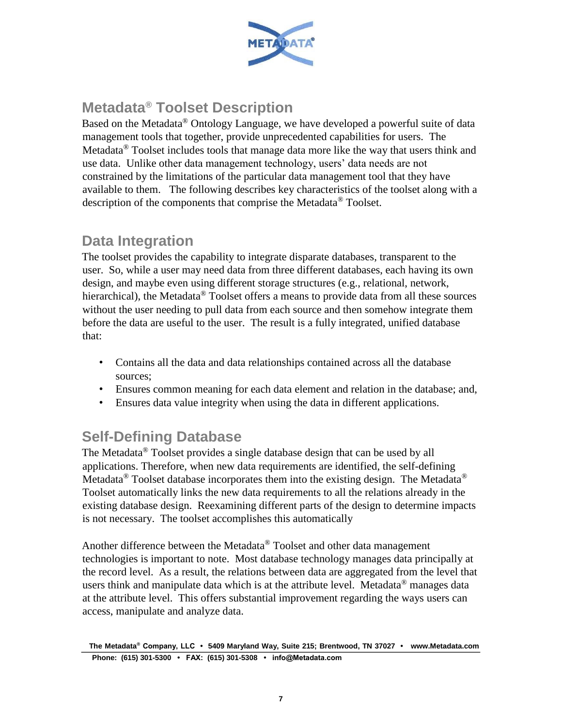

# **Metadata® Toolset Description**

Based on the Metadata® Ontology Language, we have developed a powerful suite of data management tools that together, provide unprecedented capabilities for users. The Metadata<sup>®</sup> Toolset includes tools that manage data more like the way that users think and use data. Unlike other data management technology, users' data needs are not constrained by the limitations of the particular data management tool that they have available to them. The following describes key characteristics of the toolset along with a description of the components that comprise the Metadata® Toolset.

#### **Data Integration**

The toolset provides the capability to integrate disparate databases, transparent to the user. So, while a user may need data from three different databases, each having its own design, and maybe even using different storage structures (e.g., relational, network, hierarchical), the Metadata<sup>®</sup> Toolset offers a means to provide data from all these sources without the user needing to pull data from each source and then somehow integrate them before the data are useful to the user. The result is a fully integrated, unified database that:

- Contains all the data and data relationships contained across all the database sources;
- Ensures common meaning for each data element and relation in the database; and,
- Ensures data value integrity when using the data in different applications.

# **Self-Defining Database**

The Metadata® Toolset provides a single database design that can be used by all applications. Therefore, when new data requirements are identified, the self-defining Metadata<sup>®</sup> Toolset database incorporates them into the existing design. The Metadata<sup>®</sup> Toolset automatically links the new data requirements to all the relations already in the existing database design. Reexamining different parts of the design to determine impacts is not necessary. The toolset accomplishes this automatically

Another difference between the Metadata® Toolset and other data management technologies is important to note. Most database technology manages data principally at the record level. As a result, the relations between data are aggregated from the level that users think and manipulate data which is at the attribute level. Metadata<sup>®</sup> manages data at the attribute level. This offers substantial improvement regarding the ways users can access, manipulate and analyze data.

**The Metadata® Company, LLC • 5409 Maryland Way, Suite 215; Brentwood, TN 37027 • www.Metadata.com Phone: (615) 301-5300 • FAX: (615) 301-5308 • info@Metadata.com**